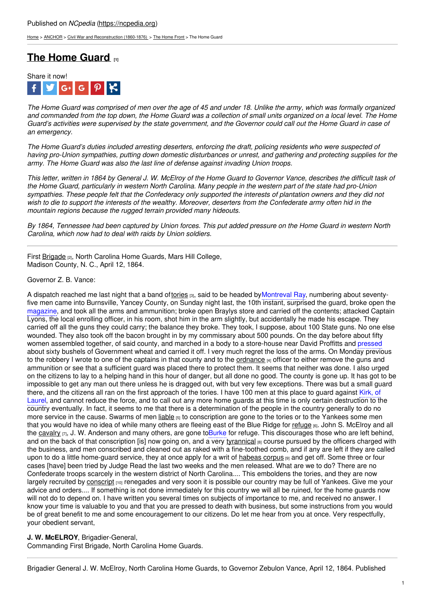[Home](https://ncpedia.org/) > [ANCHOR](https://ncpedia.org/anchor/anchor) > Civil War and [Reconstruction](https://ncpedia.org/anchor/civil-war-and-reconstruction) (1860-1876) > The [Home](https://ncpedia.org/anchor/home-front) Front > The Home Guard

# **The Home [Guard](https://ncpedia.org/anchor/home-guard) [1]**



The Home Guard was comprised of men over the age of 45 and under 18. Unlike the army, which was formally organized and commanded from the top down, the Home Guard was a collection of small units organized on a local level. The Home Guard's activities were supervised by the state government, and the Governor could call out the Home Guard in case of *an emergency.*

The Home Guard's duties included arresting deserters, enforcing the draft, policing residents who were suspected of having pro-Union sympathies, putting down domestic disturbances or unrest, and gathering and protecting supplies for the *army. The Home Guard was also the last line of defense against invading Union troops.*

This letter, written in 1864 by General J. W. McElrov of the Home Guard to Governor Vance, describes the difficult task of the Home Guard, particularly in western North Carolina. Many people in the western part of the state had pro-Union sympathies. These people felt that the [Confederacy](http://www.social9.com) only supported the interests of plantation owners and they did not wish to die to support the interests of the wealthy. Moreover, deserters from the Confederate army often hid in the *mountain regions because the rugged terrain provided many hideouts.*

By 1864. Tennessee had been captured by Union forces. This put added pressure on the Home Guard in western North *Carolina, which now had to deal with raids by Union soldiers.*

First [Brigade](https://ncpedia.org/glossary/brigade) [2], North Carolina Home Guards, Mars Hill College, Madison County, N. C., April 12, 1864.

#### Governor Z. B. Vance:

A dispatch reached me last night that a band of[tories](https://ncpedia.org/glossary/tory) [3], said to be headed by Montreval Ray, numbering about seventyfive men came into Burnsville, Yancey County, on Sunday night last, the 10th instant, surprised the guard, broke open the magazine, and took all the arms and ammunition; broke open Braylys store and carried off the contents; attacked Captain Lyons, the local enrolling officer, in his room, shot him in the arm slightly, but accidentally he made his escape. They carried off all the guns they could carry; the balance they broke. They took, I suppose, about 100 State guns. No one else wounded. They also took off the bacon brought in by my commissary about 500 pounds. On the day before about fifty women assembled together, of said county, and marched in a body to a store-house near David Proffitts and pressed about sixty bushels of Government wheat and carried it off. I very much regret the loss of the arms. On Monday previous to the robbery I wrote to one of the captains in that county and to the [ordnance](https://ncpedia.org/glossary/ordnance) [4] officer to either remove the guns and ammunition or see that a sufficient guard was placed there to protect them. It seems that neither was done. I also urged on the citizens to lay to a helping hand in this hour of danger, but all done no good. The county is gone up. It has got to be impossible to get any man out there unless he is dragged out, with but very few exceptions. There was but a small guard there, and the citizens all ran on the first approach of the tories. I have 100 men at this place to guard against Kirk, of Laurel, and cannot reduce the force, and to call out any more home guards at this time is only certain destruction to the country eventually. In fact, it seems to me that there is a determination of the people in the country generally to do no more service in the cause. Swarms of men [liable](https://ncpedia.org/glossary/liable) [5] to conscription are gone to the tories or to the Yankees some men that you would have no idea of while many others are fleeing east of the Blue Ridge for [refuge](https://ncpedia.org/glossary/refuge) [6]. John S. McElroy and all the [cavalry](https://ncpedia.org/glossary/cavalry)  $_{[7]}$ , J. W. Anderson and many others, are gone to Burke for refuge. This discourages those who are left behind, and on the back of that conscription [is] now going on, and a very [tyrannical](https://ncpedia.org/glossary/tyrannical) [8] course pursued by the officers charged with the business, and men conscribed and cleaned out as raked with a fine-toothed comb, and if any are left if they are called upon to do a little home-guard service, they at once apply for a writ of [habeas](https://www.ncpedia.org/glossary/habeas-corpus) corpus  $\phi$  and get off. Some three or four cases [have] been tried by Judge Read the last two weeks and the men released. What are we to do? There are no Confederate troops scarcely in the western district of North Carolina.... This emboldens the tories, and they are now largely recruited by [conscript](https://ncpedia.org/glossary/conscript) <sub>[10]</sub> renegades and very soon it is possible our country may be full of Yankees. Give me your advice and orders.... If something is not done immediately for this country we will all be ruined, for the home guards now will not do to depend on. I have written you several times on subjects of importance to me, and received no answer. I know your time is valuable to you and that you are pressed to death with business, but some instructions from you would be of great benefit to me and some encouragement to our citizens. Do let me hear from you at once. Very respectfully, your obedient servant,

### **J. W. McELROY**, Brigadier-General,

Commanding First Brigade, North Carolina Home Guards.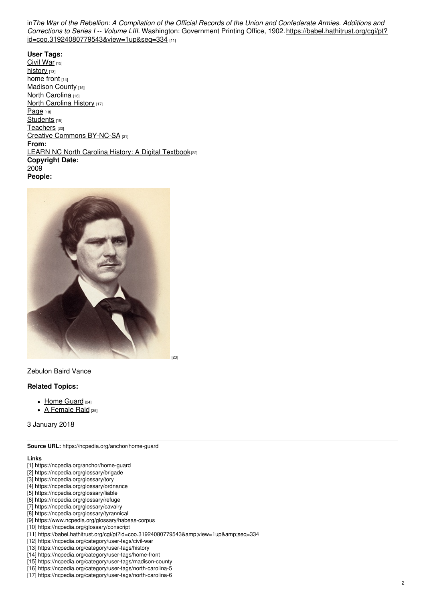in The War of the Rebellion: A Compilation of the Official Records of the Union and Confederate Armies. Additions and *Corrections to Series I -- Volume LIII.* Washington: Government Printing Office, 1902. https://babel.hathitrust.org/cgi/pt? [id=coo.31924080779543&view=1up&seq=334](https://babel.hathitrust.org/cgi/pt?id=coo.31924080779543&view=1up&seq=334) [11]

**User Tags:** [Civil](https://ncpedia.org/category/user-tags/civil-war) War [12] [history](https://ncpedia.org/category/user-tags/history) [13] [home](https://ncpedia.org/category/user-tags/home-front) front [14] [Madison](https://ncpedia.org/category/user-tags/madison-county) County [15] North [Carolina](https://ncpedia.org/category/user-tags/north-carolina-5) [16] North [Carolina](https://ncpedia.org/category/user-tags/north-carolina-6) History [17] [Page](https://ncpedia.org/category/user-tags/page) [18] [Students](https://ncpedia.org/category/user-tags/students) [19] [Teachers](https://ncpedia.org/category/user-tags/teachers) [20] Creative Commons [BY-NC-SA](https://ncpedia.org/category/user-tags/creative-commons) [21] **From:** LEARN NC North Carolina History: A Digital [Textbook](https://ncpedia.org/category/entry-source/learn-nc)<sup>[22]</sup> **Copyright Date:** 2009 **People:**



## Zebulon Baird Vance

### **Related Topics:**

- Home [Guard](https://ncpedia.org/home-guard) [24]
- A [Female](https://ncpedia.org/anchor/female-raid) Raid [25]

3 January 2018

**Source URL:** https://ncpedia.org/anchor/home-guard

#### **Links**

- [1] https://ncpedia.org/anchor/home-guard
- [2] https://ncpedia.org/glossary/brigade
- [3] https://ncpedia.org/glossary/tory
- [4] https://ncpedia.org/glossary/ordnance
- [5] https://ncpedia.org/glossary/liable
- [6] https://ncpedia.org/glossary/refuge
- [7] https://ncpedia.org/glossary/cavalry
- [8] https://ncpedia.org/glossary/tyrannical
- [9] https://www.ncpedia.org/glossary/habeas-corpus
- [10] https://ncpedia.org/glossary/conscript
- [11] https://babel.hathitrust.org/cgi/pt?id=coo.31924080779543&view=1up&seq=334
- [12] https://ncpedia.org/category/user-tags/civil-war
- [13] https://ncpedia.org/category/user-tags/history
- [14] https://ncpedia.org/category/user-tags/home-front
- [15] https://ncpedia.org/category/user-tags/madison-county
- [16] https://ncpedia.org/category/user-tags/north-carolina-5
- [17] https://ncpedia.org/category/user-tags/north-carolina-6